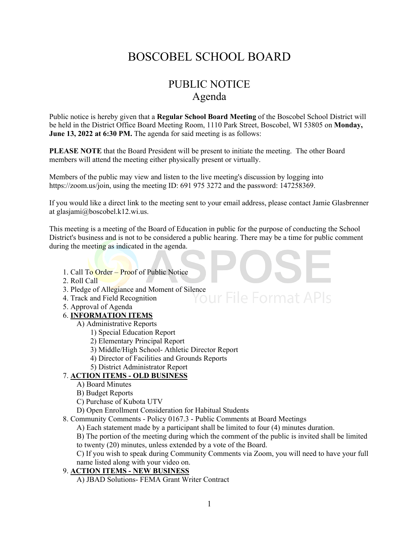# BOSCOBEL SCHOOL BOARD

# PUBLIC NOTICE Agenda

Public notice is hereby given that a **Regular School Board Meeting** of the Boscobel School District will be held in the District Office Board Meeting Room, 1110 Park Street, Boscobel, WI 53805 on **Monday, June 13, 2022 at 6:30 PM.** The agenda for said meeting is as follows:

**PLEASE NOTE** that the Board President will be present to initiate the meeting. The other Board members will attend the meeting either physically present or virtually.

Members of the public may view and listen to the live meeting's discussion by logging into https://zoom.us/join, using the meeting ID: 691 975 3272 and the password: 147258369.

If you would like a direct link to the meeting sent to your email address, please contact Jamie Glasbrenner at glasjami@boscobel.k12.wi.us.

This meeting is a meeting of the Board of Education in public for the purpose of conducting the School District's business and is not to be considered a public hearing. There may be a time for public comment during the meeting as indicated in the agenda.

- 1. Call To Order Proof of Public Notice
- 2. Roll Call
- 3. Pledge of Allegiance and Moment of Silence<br>4. Track and Field Recognition<br> $\text{OUIF}$   $\text{File}$   $\text{Format}$   $\text{APIs}$
- 4. Track and Field Recognition
- 5. Approval of Agenda

#### 6. **INFORMATION ITEMS**

- A) Administrative Reports
	- 1) Special Education Report
	- 2) Elementary Principal Report
	- 3) Middle/High School- Athletic Director Report
	- 4) Director of Facilities and Grounds Reports
	- 5) District Administrator Report

## 7. **ACTION ITEMS - OLD BUSINESS**

- A) Board Minutes
- B) Budget Reports
- C) Purchase of Kubota UTV
- D) Open Enrollment Consideration for Habitual Students
- 8. Community Comments Policy 0167.3 Public Comments at Board Meetings
	- A) Each statement made by a participant shall be limited to four (4) minutes duration.

B) The portion of the meeting during which the comment of the public is invited shall be limited to twenty (20) minutes, unless extended by a vote of the Board.

C) If you wish to speak during Community Comments via Zoom, you will need to have your full name listed along with your video on.

### 9. **ACTION ITEMS - NEW BUSINESS**

A) JBAD Solutions- FEMA Grant Writer Contract